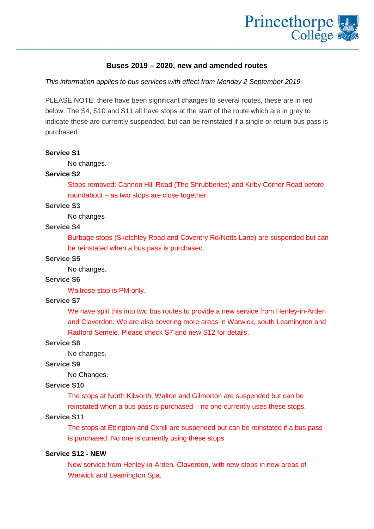

# **Buses 2019 – 2020, new and amended routes**

*This information applies to bus services with effect from Monday 2 September 2019*

PLEASE NOTE: there have been significant changes to several routes, these are in red below. The S4, S10 and S11 all have stops at the start of the route which are in grey to indicate these are currently suspended, but can be reinstated if a single or return bus pass is purchased.

# **Service S1**

No changes.

# **Service S2**

Stops removed: Cannon Hill Road (The Shrubberies) and Kirby Corner Road before roundabout – as two stops are close together.

# **Service S3**

No changes

# **Service S4**

Burbage stops (Sketchley Road and Coventry Rd/Notts Lane) are suspended but can be reinstated when a bus pass is purchased.

# **Service S5**

No changes.

# **Service S6**

Waitrose stop is PM only.

# **Service S7**

We have split this into two bus routes to provide a new service from Henley-in-Arden and Claverdon. We are also covering more areas in Warwick, south Leamington and Radford Semele. Please check S7 and new S12 for details.

#### **Service S8**

No changes.

# **Service S9**

No Changes.

### **Service S10**

The stops at North Kilworth, Walton and Gilmorton are suspended but can be

reinstated when a bus pass is purchased – no one currently uses these stops.

# **Service S11**

The stops at Ettington and Oxhill are suspended but can be reinstated if a bus pass is purchased. No one is currently using these stops

# **Service S12 - NEW**

New service from Henley-in-Arden, Claverdon, with new stops in new areas of Warwick and Leamington Spa.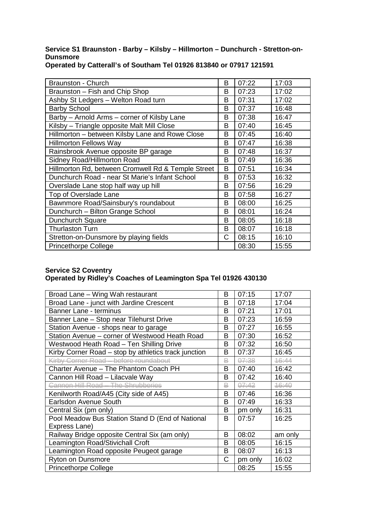# **Service S1 Braunston - Barby – Kilsby – Hillmorton – Dunchurch - Stretton-on-Dunsmore**

| <b>Braunston - Church</b>                          | B | 07:22 | 17:03 |
|----------------------------------------------------|---|-------|-------|
| Braunston - Fish and Chip Shop                     | в | 07:23 | 17:02 |
| Ashby St Ledgers - Welton Road turn                | B | 07:31 | 17:02 |
| <b>Barby School</b>                                | B | 07:37 | 16:48 |
| Barby - Arnold Arms - corner of Kilsby Lane        | B | 07:38 | 16:47 |
| Kilsby - Triangle opposite Malt Mill Close         | в | 07:40 | 16:45 |
| Hillmorton - between Kilsby Lane and Rowe Close    | B | 07:45 | 16:40 |
| <b>Hillmorton Fellows Way</b>                      | B | 07:47 | 16:38 |
| Rainsbrook Avenue opposite BP garage               | B | 07:48 | 16:37 |
| Sidney Road/Hillmorton Road                        | B | 07:49 | 16:36 |
| Hillmorton Rd, between Cromwell Rd & Temple Street | B | 07:51 | 16:34 |
| Dunchurch Road - near St Marie's Infant School     | в | 07:53 | 16:32 |
| Overslade Lane stop half way up hill               | B | 07:56 | 16:29 |
| Top of Overslade Lane                              | B | 07:58 | 16:27 |
| Bawnmore Road/Sainsbury's roundabout               | B | 08:00 | 16:25 |
| Dunchurch - Bilton Grange School                   | B | 08:01 | 16:24 |
| Dunchurch Square                                   | B | 08:05 | 16:18 |
| <b>Thurlaston Turn</b>                             | B | 08:07 | 16:18 |
| Stretton-on-Dunsmore by playing fields             | С | 08:15 | 16:10 |
| <b>Princethorpe College</b>                        |   | 08:30 | 15:55 |

**Operated by Catterall's of Southam Tel 01926 813840 or 07917 121591**

# **Service S2 Coventry Operated by Ridley's Coaches of Leamington Spa Tel 01926 430130**

| Broad Lane - Wing Wah restaurant                     | B | 07:15   | 17:07   |
|------------------------------------------------------|---|---------|---------|
| Broad Lane - junct with Jardine Crescent             | B | 07:18   | 17:04   |
| Banner Lane - terminus                               | B | 07:21   | 17:01   |
| Banner Lane - Stop near Tilehurst Drive              | B | 07:23   | 16:59   |
| Station Avenue - shops near to garage                | В | 07:27   | 16:55   |
| Station Avenue - corner of Westwood Heath Road       | В | 07:30   | 16:52   |
| Westwood Heath Road - Ten Shilling Drive             | B | 07:32   | 16:50   |
| Kirby Corner Road – stop by athletics track junction | В | 07:37   | 16:45   |
| Kirby Corner Road - before roundabout                | ₽ | 07:38   | 46:44   |
| Charter Avenue - The Phantom Coach PH                | B | 07:40   | 16:42   |
| Cannon Hill Road - Lilacvale Way                     | В | 07:42   | 16:40   |
| <b>Cannon Hill Road - The Shrubberies</b>            | ₽ | 07:42   | 46:40   |
| Kenilworth Road/A45 (City side of A45)               | В | 07:46   | 16:36   |
| <b>Earlsdon Avenue South</b>                         | B | 07:49   | 16:33   |
| Central Six (pm only)                                | B | pm only | 16:31   |
| Pool Meadow Bus Station Stand D (End of National     | B | 07:57   | 16:25   |
| Express Lane)                                        |   |         |         |
| Railway Bridge opposite Central Six (am only)        | B | 08:02   | am only |
| Leamington Road/Stivichall Croft                     | B | 08:05   | 16:15   |
| Leamington Road opposite Peugeot garage              | B | 08:07   | 16:13   |
| Ryton on Dunsmore                                    | C | pm only | 16:02   |
| <b>Princethorpe College</b>                          |   | 08:25   | 15:55   |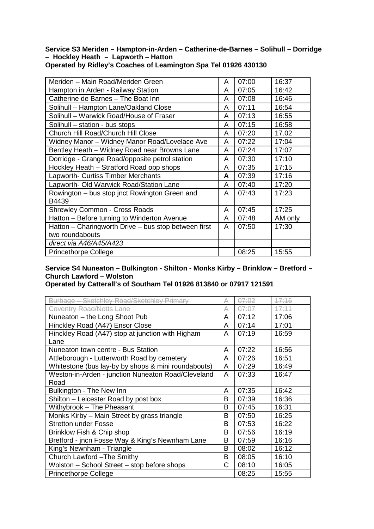#### **Service S3 Meriden – Hampton-in-Arden – Catherine-de-Barnes – Solihull – Dorridge – Hockley Heath – Lapworth – Hatton Operated by Ridley's Coaches of Leamington Spa Tel 01926 430130**

| Meriden – Main Road/Meriden Green                    | A | 07:00 | 16:37   |
|------------------------------------------------------|---|-------|---------|
| Hampton in Arden - Railway Station                   | A | 07:05 | 16:42   |
| Catherine de Barnes - The Boat Inn                   | A | 07:08 | 16:46   |
| Solihull - Hampton Lane/Oakland Close                | A | 07:11 | 16:54   |
| Solihull – Warwick Road/House of Fraser              | A | 07:13 | 16:55   |
| Solihull - station - bus stops                       | A | 07:15 | 16:58   |
| Church Hill Road/Church Hill Close                   | A | 07:20 | 17.02   |
| Widney Manor - Widney Manor Road/Lovelace Ave        | A | 07:22 | 17:04   |
| Bentley Heath - Widney Road near Browns Lane         | A | 07:24 | 17:07   |
| Dorridge - Grange Road/opposite petrol station       | A | 07:30 | 17:10   |
| Hockley Heath - Stratford Road opp shops             | A | 07:35 | 17:15   |
| Lapworth- Curtiss Timber Merchants                   | A | 07:39 | 17:16   |
| Lapworth- Old Warwick Road/Station Lane              | A | 07:40 | 17:20   |
| Rowington – bus stop jnct Rowington Green and        | A | 07:43 | 17:23   |
| B4439                                                |   |       |         |
| <b>Shrewley Common - Cross Roads</b>                 | A | 07:45 | 17:25   |
| Hatton - Before turning to Winderton Avenue          | A | 07:48 | AM only |
| Hatton – Charingworth Drive – bus stop between first | A | 07:50 | 17:30   |
| two roundabouts                                      |   |       |         |
| direct via A46/A45/A423                              |   |       |         |
| <b>Princethorpe College</b>                          |   | 08:25 | 15:55   |

**Service S4 Nuneaton – Bulkington - Shilton - Monks Kirby – Brinklow – Bretford – Church Lawford – Wolston** 

**Operated by Catterall's of Southam Tel 01926 813840 or 07917 121591**

| Burbage - Sketchlev Road/Sketchlev Primary          | ₳ | <u>07.02</u> | 47:16   |
|-----------------------------------------------------|---|--------------|---------|
| Coventry Road/Notts Lane                            | ₳ | 07:07        | $+7.11$ |
| Nuneaton – the Long Shoot Pub                       | A | 07:12        | 17:06   |
| Hinckley Road (A47) Ensor Close                     | A | 07:14        | 17:01   |
| Hinckley Road (A47) stop at junction with Higham    | A | 07:19        | 16:59   |
| Lane                                                |   |              |         |
| Nuneaton town centre - Bus Station                  | A | 07:22        | 16:56   |
| Attleborough - Lutterworth Road by cemetery         | A | 07:26        | 16:51   |
| Whitestone (bus lay-by by shops & mini roundabouts) | A | 07:29        | 16:49   |
| Weston-in-Arden - junction Nuneaton Road/Cleveland  | A | 07:33        | 16:47   |
| Road                                                |   |              |         |
| Bulkington - The New Inn                            | A | 07:35        | 16:42   |
| Shilton - Leicester Road by post box                | В | 07:39        | 16:36   |
| Withybrook - The Pheasant                           | B | 07:45        | 16:31   |
| Monks Kirby – Main Street by grass triangle         | В | 07:50        | 16:25   |
| <b>Stretton under Fosse</b>                         | B | 07:53        | 16:22   |
| Brinklow Fish & Chip shop                           | B | 07:56        | 16:19   |
| Bretford - jncn Fosse Way & King's Newnham Lane     | В | 07:59        | 16:16   |
| King's Newnham - Triangle                           | B | 08:02        | 16:12   |
| Church Lawford - The Smithy                         | B | 08:05        | 16:10   |
| Wolston - School Street - stop before shops         | C | 08:10        | 16:05   |
| <b>Princethorpe College</b>                         |   | 08:25        | 15:55   |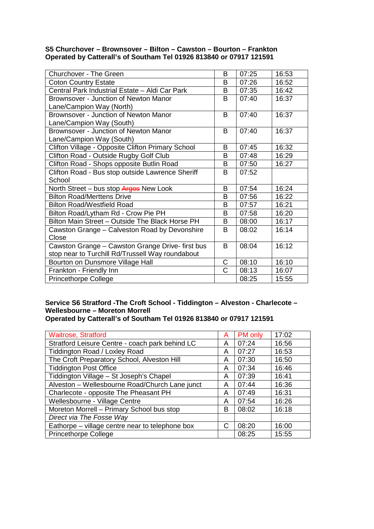# **S5 Churchover – Brownsover – Bilton – Cawston – Bourton – Frankton Operated by Catterall's of Southam Tel 01926 813840 or 07917 121591**

| <b>Churchover - The Green</b>                     | B            | 07:25 | 16:53 |
|---------------------------------------------------|--------------|-------|-------|
| <b>Coton Country Estate</b>                       | B            | 07:26 | 16:52 |
| Central Park Industrial Estate - Aldi Car Park    | B            | 07:35 | 16:42 |
| Brownsover - Junction of Newton Manor             | B            | 07:40 | 16:37 |
| Lane/Campion Way (North)                          |              |       |       |
| Brownsover - Junction of Newton Manor             | B            | 07:40 | 16:37 |
| Lane/Campion Way (South)                          |              |       |       |
| Brownsover - Junction of Newton Manor             | <sub>B</sub> | 07:40 | 16:37 |
| Lane/Campion Way (South)                          |              |       |       |
| Clifton Village - Opposite Clifton Primary School | B            | 07:45 | 16:32 |
| Clifton Road - Outside Rugby Golf Club            | B            | 07:48 | 16:29 |
| Clifton Road - Shops opposite Butlin Road         | B            | 07:50 | 16:27 |
| Clifton Road - Bus stop outside Lawrence Sheriff  | B            | 07:52 |       |
| School                                            |              |       |       |
| North Street - bus stop Arges New Look            | B            | 07:54 | 16:24 |
| <b>Bilton Road/Merttens Drive</b>                 | B            | 07:56 | 16:22 |
| <b>Bilton Road/Westfield Road</b>                 | B            | 07:57 | 16:21 |
| Bilton Road/Lytham Rd - Crow Pie PH               | B            | 07:58 | 16:20 |
| Bilton Main Street - Outside The Black Horse PH   | B            | 08:00 | 16:17 |
| Cawston Grange - Calveston Road by Devonshire     | B            | 08:02 | 16:14 |
| Close                                             |              |       |       |
| Cawston Grange - Cawston Grange Drive- first bus  | B            | 08:04 | 16:12 |
| stop near to Turchill Rd/Trussell Way roundabout  |              |       |       |
| Bourton on Dunsmore Village Hall                  | $\mathsf{C}$ | 08:10 | 16:10 |
| Frankton - Friendly Inn                           | C            | 08:13 | 16:07 |
| <b>Princethorpe College</b>                       |              | 08:25 | 15:55 |

# **Service S6 Stratford -The Croft School - Tiddington – Alveston - Charlecote – Wellesbourne – Moreton Morrell**

**Operated by Catterall's of Southam Tel 01926 813840 or 07917 121591**

| <b>Waitrose, Stratford</b>                      | A | PM only | 17:02 |
|-------------------------------------------------|---|---------|-------|
| Stratford Leisure Centre - coach park behind LC | A | 07:24   | 16:56 |
| Tiddington Road / Loxley Road                   | A | 07:27   | 16:53 |
| The Croft Preparatory School, Alveston Hill     | A | 07:30   | 16:50 |
| <b>Tiddington Post Office</b>                   | A | 07:34   | 16:46 |
| Tiddington Village - St Joseph's Chapel         | A | 07:39   | 16:41 |
| Alveston - Wellesbourne Road/Church Lane junct  | A | 07:44   | 16:36 |
| Charlecote - opposite The Pheasant PH           | А | 07:49   | 16:31 |
| Wellesbourne - Village Centre                   | А | 07:54   | 16:26 |
| Moreton Morrell - Primary School bus stop       | B | 08:02   | 16:18 |
| Direct via The Fosse Way                        |   |         |       |
| Eathorpe – village centre near to telephone box |   | 08:20   | 16:00 |
| <b>Princethorpe College</b>                     |   | 08:25   | 15:55 |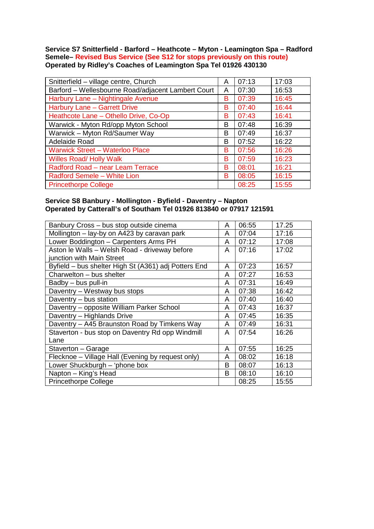**Service S7 Snitterfield - Barford – Heathcote – Myton - Leamington Spa – Radford Semele– Revised Bus Service (See S12 for stops previously on this route) Operated by Ridley's Coaches of Leamington Spa Tel 01926 430130**

| Snitterfield - village centre, Church              | A | 07:13 | 17:03 |
|----------------------------------------------------|---|-------|-------|
| Barford - Wellesbourne Road/adjacent Lambert Court | A | 07:30 | 16:53 |
| Harbury Lane - Nightingale Avenue                  | в | 07:39 | 16:45 |
| Harbury Lane - Garrett Drive                       | B | 07:40 | 16:44 |
| Heathcote Lane - Othello Drive, Co-Op              | B | 07:43 | 16:41 |
| Warwick - Myton Rd/opp Myton School                | в | 07:48 | 16:39 |
| Warwick - Myton Rd/Saumer Way                      | B | 07:49 | 16:37 |
| Adelaide Road                                      | B | 07:52 | 16:22 |
| <b>Warwick Street - Waterloo Place</b>             | B | 07:56 | 16:26 |
| <b>Willes Road/ Holly Walk</b>                     | B | 07:59 | 16:23 |
| Radford Road - near Leam Terrace                   | B | 08:01 | 16:21 |
| Radford Semele - White Lion                        | B | 08:05 | 16:15 |
| <b>Princethorpe College</b>                        |   | 08:25 | 15:55 |

# **Service S8 Banbury - Mollington - Byfield - Daventry – Napton Operated by Catterall's of Southam Tel 01926 813840 or 07917 121591**

| Banbury Cross - bus stop outside cinema              | A | 06:55 | 17.25 |
|------------------------------------------------------|---|-------|-------|
| Mollington - lay-by on A423 by caravan park          | A | 07:04 | 17:16 |
| Lower Boddington - Carpenters Arms PH                | A | 07:12 | 17:08 |
| Aston le Walls - Welsh Road - driveway before        | A | 07:16 | 17:02 |
| junction with Main Street                            |   |       |       |
| Byfield – bus shelter High St (A361) adj Potters End | A | 07:23 | 16:57 |
| Charwelton - bus shelter                             | A | 07:27 | 16:53 |
| Badby - bus pull-in                                  | A | 07:31 | 16:49 |
| Daventry - Westway bus stops                         | A | 07:38 | 16:42 |
| Daventry - bus station                               | A | 07:40 | 16:40 |
| Daventry – opposite William Parker School            | A | 07:43 | 16:37 |
| Daventry - Highlands Drive                           | A | 07:45 | 16:35 |
| Daventry - A45 Braunston Road by Timkens Way         | A | 07:49 | 16:31 |
| Staverton - bus stop on Daventry Rd opp Windmill     | A | 07:54 | 16:26 |
| Lane                                                 |   |       |       |
| Staverton - Garage                                   | A | 07:55 | 16:25 |
| Flecknoe - Village Hall (Evening by request only)    | A | 08:02 | 16:18 |
| Lower Shuckburgh - 'phone box                        | B | 08:07 | 16:13 |
| Napton - King's Head                                 | B | 08:10 | 16:10 |
| <b>Princethorpe College</b>                          |   | 08:25 | 15:55 |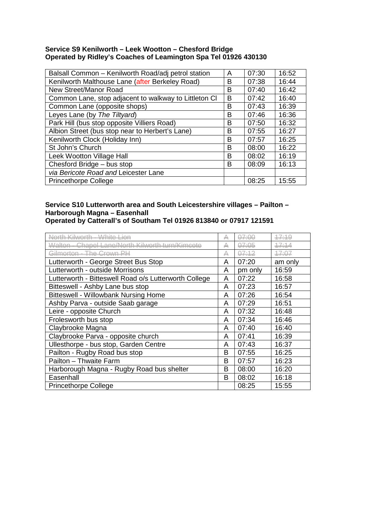### **Service S9 Kenilworth – Leek Wootton – Chesford Bridge Operated by Ridley's Coaches of Leamington Spa Tel 01926 430130**

| Balsall Common - Kenilworth Road/adj petrol station   | A | 07:30 | 16:52 |
|-------------------------------------------------------|---|-------|-------|
| Kenilworth Malthouse Lane (after Berkeley Road)       | в | 07:38 | 16:44 |
| New Street/Manor Road                                 | в | 07:40 | 16:42 |
| Common Lane, stop adjacent to walkway to Littleton CI | в | 07:42 | 16:40 |
| Common Lane (opposite shops)                          | в | 07:43 | 16:39 |
| Leyes Lane (by The Tiltyard)                          | в | 07:46 | 16:36 |
| Park Hill (bus stop opposite Villiers Road)           | в | 07:50 | 16:32 |
| Albion Street (bus stop near to Herbert's Lane)       | B | 07:55 | 16:27 |
| Kenilworth Clock (Holiday Inn)                        | B | 07:57 | 16:25 |
| St John's Church                                      | B | 08:00 | 16:22 |
| Leek Wootton Village Hall                             | B | 08:02 | 16:19 |
| Chesford Bridge - bus stop                            | в | 08:09 | 16:13 |
| via Bericote Road and Leicester Lane                  |   |       |       |
| <b>Princethorpe College</b>                           |   | 08:25 | 15:55 |

# **Service S10 Lutterworth area and South Leicestershire villages – Pailton – Harborough Magna – Easenhall**

**Operated by Catterall's of Southam Tel 01926 813840 or 07917 121591**

| orth Kilworth<br><u>an ا م±Mul ـ</u>                  | ₳ | <del>07:00</del> | 47:19   |
|-------------------------------------------------------|---|------------------|---------|
| Chanel Lane/North Kilworth turn/Kimeate<br>Walton -   | ₳ | <del>07:05</del> | 47:14   |
| <u> Silmartan - The Crown PH</u>                      | ₳ | <del>07:12</del> | 47:07   |
| Lutterworth - George Street Bus Stop                  | A | 07:20            | am only |
| Lutterworth - outside Morrisons                       | A | pm only          | 16:59   |
| Lutterworth - Bitteswell Road o/s Lutterworth College | A | 07:22            | 16:58   |
| Bitteswell - Ashby Lane bus stop                      | A | 07:23            | 16:57   |
| <b>Bitteswell - Willowbank Nursing Home</b>           | A | 07:26            | 16:54   |
| Ashby Parva - outside Saab garage                     | A | 07:29            | 16:51   |
| Leire - opposite Church                               | A | 07:32            | 16:48   |
| Frolesworth bus stop                                  | A | 07:34            | 16:46   |
| Claybrooke Magna                                      | A | 07:40            | 16:40   |
| Claybrooke Parva - opposite church                    | A | 07:41            | 16:39   |
| Ullesthorpe - bus stop, Garden Centre                 | A | 07:43            | 16:37   |
| Pailton - Rugby Road bus stop                         | в | 07:55            | 16:25   |
| Pailton - Thwaite Farm                                | B | 07:57            | 16:23   |
| Harborough Magna - Rugby Road bus shelter             | в | 08:00            | 16:20   |
| Easenhall                                             | B | 08:02            | 16:18   |
| <b>Princethorpe College</b>                           |   | 08:25            | 15:55   |